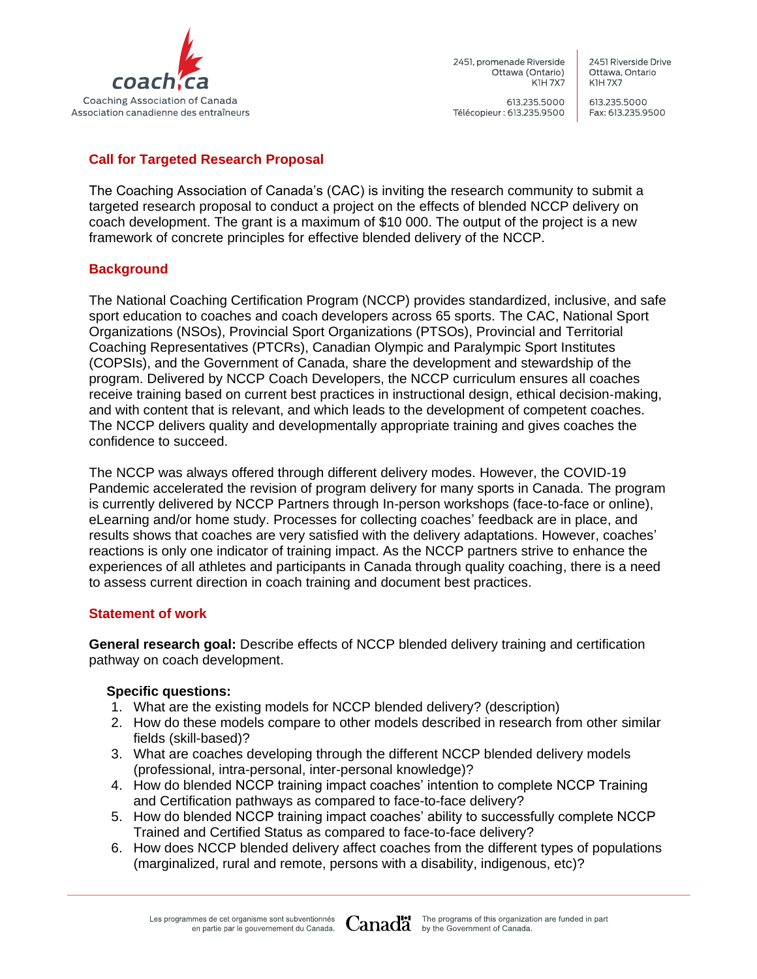

2451, promenade Riverside Ottawa (Ontario) **K1H7X7** 

613,235,5000 Télécopieur : 613.235.9500

2451 Riverside Drive Ottawa, Ontario **K1H7X7** 

613,235,5000 Fax: 613.235.9500

# **Call for Targeted Research Proposal**

The Coaching Association of Canada's (CAC) is inviting the research community to submit a targeted research proposal to conduct a project on the effects of blended NCCP delivery on coach development. The grant is a maximum of \$10 000. The output of the project is a new framework of concrete principles for effective blended delivery of the NCCP.

## **Background**

The National Coaching Certification Program (NCCP) provides standardized, inclusive, and safe sport education to coaches and coach developers across 65 sports. The CAC, National Sport Organizations (NSOs), Provincial Sport Organizations (PTSOs), Provincial and Territorial Coaching Representatives (PTCRs), Canadian Olympic and Paralympic Sport Institutes (COPSIs), and the Government of Canada, share the development and stewardship of the program. Delivered by NCCP Coach Developers, the NCCP curriculum ensures all coaches receive training based on current best practices in instructional design, ethical decision‐making, and with content that is relevant, and which leads to the development of competent coaches. The NCCP delivers quality and developmentally appropriate training and gives coaches the confidence to succeed.

The NCCP was always offered through different delivery modes. However, the COVID-19 Pandemic accelerated the revision of program delivery for many sports in Canada. The program is currently delivered by NCCP Partners through In-person workshops (face-to-face or online), eLearning and/or home study. Processes for collecting coaches' feedback are in place, and results shows that coaches are very satisfied with the delivery adaptations. However, coaches' reactions is only one indicator of training impact. As the NCCP partners strive to enhance the experiences of all athletes and participants in Canada through quality coaching, there is a need to assess current direction in coach training and document best practices.

#### **Statement of work**

**General research goal:** Describe effects of NCCP blended delivery training and certification pathway on coach development.

#### **Specific questions:**

- 1. What are the existing models for NCCP blended delivery? (description)
- 2. How do these models compare to other models described in research from other similar fields (skill-based)?
- 3. What are coaches developing through the different NCCP blended delivery models (professional, intra-personal, inter-personal knowledge)?
- 4. How do blended NCCP training impact coaches' intention to complete NCCP Training and Certification pathways as compared to face-to-face delivery?
- 5. How do blended NCCP training impact coaches' ability to successfully complete NCCP Trained and Certified Status as compared to face-to-face delivery?
- 6. How does NCCP blended delivery affect coaches from the different types of populations (marginalized, rural and remote, persons with a disability, indigenous, etc)?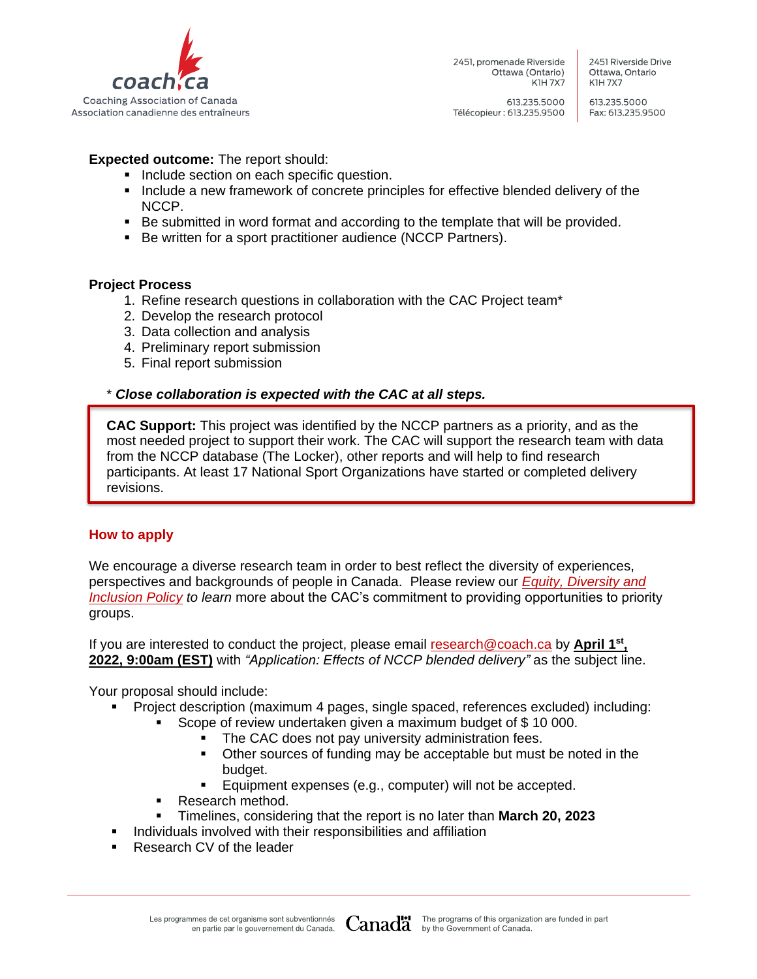

2451, promenade Riverside Ottawa (Ontario) **K1H7X7** 

2451 Riverside Drive Ottawa, Ontario **K1H7X7** 

613,235,5000 Télécopieur : 613.235.9500

613,235,5000 Fax: 613.235.9500

### **Expected outcome:** The report should:

- Include section on each specific question.
- Include a new framework of concrete principles for effective blended delivery of the NCCP.
- Be submitted in word format and according to the template that will be provided.
- Be written for a sport practitioner audience (NCCP Partners).

#### **Project Process**

- 1. Refine research questions in collaboration with the CAC Project team\*
- 2. Develop the research protocol
- 3. Data collection and analysis
- 4. Preliminary report submission
- 5. Final report submission

## \* *Close collaboration is expected with the CAC at all steps.*

**CAC Support:** This project was identified by the NCCP partners as a priority, and as the most needed project to support their work. The CAC will support the research team with data from the NCCP database (The Locker), other reports and will help to find research participants. At least 17 National Sport Organizations have started or completed delivery revisions.

## **How to apply**

We encourage a diverse research team in order to best reflect the diversity of experiences, perspectives and backgrounds of people in Canada. Please review our *[Equity, Diversity and](https://coach.ca/sites/default/files/2020-08/CAC_Equity_Diversity_Inclusion_Policy-2020.pdf)  [Inclusion Policy](https://coach.ca/sites/default/files/2020-08/CAC_Equity_Diversity_Inclusion_Policy-2020.pdf) to learn* more about the CAC's commitment to providing opportunities to priority groups.

If you are interested to conduct the project, please email [research@coach.ca](mailto:research@coach.ca) by **April 1**<sup>st</sup>, **2022, 9:00am (EST)** with *"Application: Effects of NCCP blended delivery"* as the subject line.

Your proposal should include:

- Project description (maximum 4 pages, single spaced, references excluded) including:
	- Scope of review undertaken given a maximum budget of \$10 000.
		- The CAC does not pay university administration fees.
		- Other sources of funding may be acceptable but must be noted in the budget.
		- Equipment expenses (e.g., computer) will not be accepted.
	- Research method.
- Timelines, considering that the report is no later than **March 20, 2023**
- Individuals involved with their responsibilities and affiliation
- Research CV of the leader